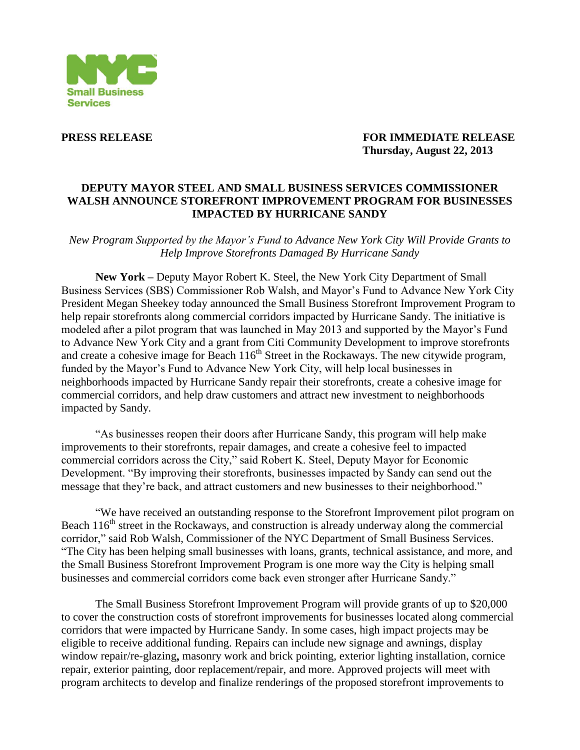

**PRESS RELEASE FOR IMMEDIATE RELEASE Thursday, August 22, 2013**

## **DEPUTY MAYOR STEEL AND SMALL BUSINESS SERVICES COMMISSIONER WALSH ANNOUNCE STOREFRONT IMPROVEMENT PROGRAM FOR BUSINESSES IMPACTED BY HURRICANE SANDY**

*New Program Supported by the Mayor's Fund to Advance New York City Will Provide Grants to Help Improve Storefronts Damaged By Hurricane Sandy* 

**New York –** Deputy Mayor Robert K. Steel, the New York City Department of Small Business Services (SBS) Commissioner Rob Walsh, and Mayor's Fund to Advance New York City President Megan Sheekey today announced the Small Business Storefront Improvement Program to help repair storefronts along commercial corridors impacted by Hurricane Sandy. The initiative is modeled after a pilot program that was launched in May 2013 and supported by the Mayor's Fund to Advance New York City and a grant from Citi Community Development to improve storefronts and create a cohesive image for Beach  $116<sup>th</sup>$  Street in the Rockaways. The new citywide program, funded by the Mayor's Fund to Advance New York City, will help local businesses in neighborhoods impacted by Hurricane Sandy repair their storefronts, create a cohesive image for commercial corridors, and help draw customers and attract new investment to neighborhoods impacted by Sandy.

"As businesses reopen their doors after Hurricane Sandy, this program will help make improvements to their storefronts, repair damages, and create a cohesive feel to impacted commercial corridors across the City," said Robert K. Steel, Deputy Mayor for Economic Development. "By improving their storefronts, businesses impacted by Sandy can send out the message that they're back, and attract customers and new businesses to their neighborhood."

"We have received an outstanding response to the Storefront Improvement pilot program on Beach  $116<sup>th</sup>$  street in the Rockaways, and construction is already underway along the commercial corridor," said Rob Walsh, Commissioner of the NYC Department of Small Business Services. "The City has been helping small businesses with loans, grants, technical assistance, and more, and the Small Business Storefront Improvement Program is one more way the City is helping small businesses and commercial corridors come back even stronger after Hurricane Sandy."

The Small Business Storefront Improvement Program will provide grants of up to \$20,000 to cover the construction costs of storefront improvements for businesses located along commercial corridors that were impacted by Hurricane Sandy. In some cases, high impact projects may be eligible to receive additional funding. Repairs can include new signage and awnings, display window repair/re-glazing**,** masonry work and brick pointing, exterior lighting installation, cornice repair, exterior painting, door replacement/repair, and more. Approved projects will meet with program architects to develop and finalize renderings of the proposed storefront improvements to